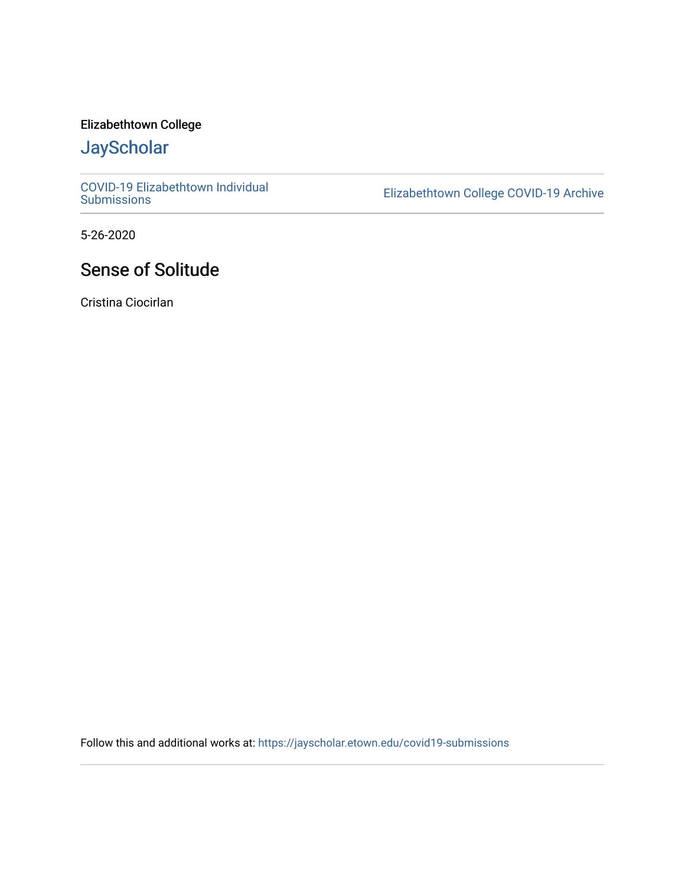### Elizabethtown College

# **JayScholar**

[COVID-19 Elizabethtown Individual](https://jayscholar.etown.edu/covid19-submissions)

Elizabethtown College COVID-19 Archive

5-26-2020

## Sense of Solitude

Cristina Ciocirlan

Follow this and additional works at: [https://jayscholar.etown.edu/covid19-submissions](https://jayscholar.etown.edu/covid19-submissions?utm_source=jayscholar.etown.edu%2Fcovid19-submissions%2F28&utm_medium=PDF&utm_campaign=PDFCoverPages)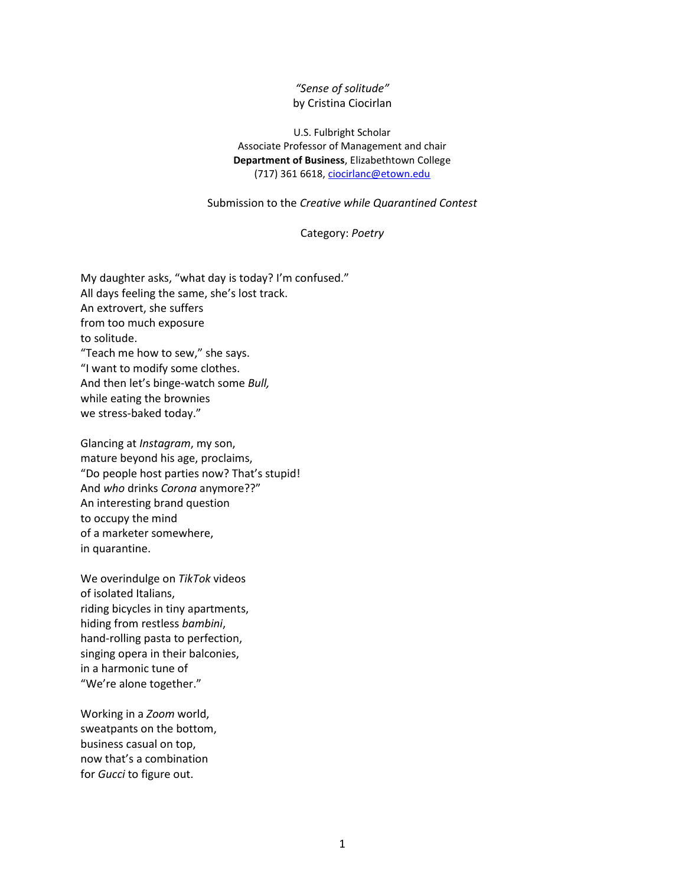#### *"Sense of solitude"* by Cristina Ciocirlan

U.S. Fulbright Scholar Associate Professor of Management and chair **Department of Business**, Elizabethtown College (717) 361 6618[, ciocirlanc@etown.edu](mailto:ciocirlanc@etown.edu)

Submission to the *Creative while Quarantined Contest*

#### Category: *Poetry*

My daughter asks, "what day is today? I'm confused." All days feeling the same, she's lost track. An extrovert, she suffers from too much exposure to solitude. "Teach me how to sew," she says. "I want to modify some clothes. And then let's binge-watch some *Bull,* while eating the brownies we stress-baked today."

Glancing at *Instagram*, my son, mature beyond his age, proclaims, "Do people host parties now? That's stupid! And *who* drinks *Corona* anymore??" An interesting brand question to occupy the mind of a marketer somewhere, in quarantine.

We overindulge on *TikTok* videos of isolated Italians, riding bicycles in tiny apartments, hiding from restless *bambini*, hand-rolling pasta to perfection, singing opera in their balconies, in a harmonic tune of "We're alone together."

Working in a *Zoom* world, sweatpants on the bottom, business casual on top, now that's a combination for *Gucci* to figure out.